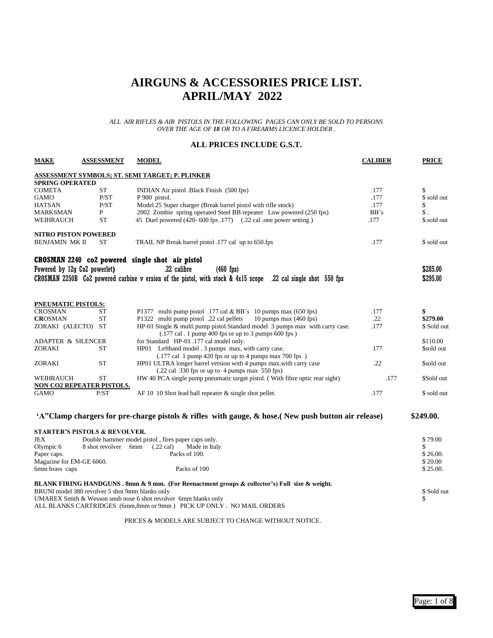### **AIRGUNS & ACCESSORIES PRICE LIST. APRIL/MAY 2022**

#### *ALL AIR RIFLES & AIR PISTOLS IN THE FOLLOWING PAGES CAN ONLY BE SOLD TO PERSONS OVER THE AGE OF 18 OR TO A FIREARMS LICENCE HOLDER .*

#### **ALL PRICES INCLUDE G.S.T.**

| <b>MAKE</b>                   | <b>ASSESSMENT</b>                               | <b>MODEL</b>                                                                                                  | <b>CALIBER</b> | <b>PRICE</b>   |
|-------------------------------|-------------------------------------------------|---------------------------------------------------------------------------------------------------------------|----------------|----------------|
|                               |                                                 | ASSESSMENT SYMBOLS; ST. SEMI TARGET; P. PLINKER                                                               |                |                |
| <b>SPRING OPERATED</b>        |                                                 |                                                                                                               |                |                |
| <b>COMETA</b>                 | <b>ST</b>                                       | INDIAN Air pistol .Black Finish (500 fps)                                                                     | .177           | \$             |
| GAMO                          | P/ST                                            | P 900 pistol.                                                                                                 | .177           | \$ sold out    |
| HATSAN                        | P/ST                                            | Model 25 Super charger (Break barrel pistol with rifle stock)                                                 | .177           | \$             |
| MARKSMAN                      | P                                               | 2002 Zombie spring operated Steel BB repeater Low powered (250 fps)                                           | BB's           | $\mathbb{S}$ . |
| WEIHRAUCH                     | <b>ST</b>                                       | 45 Duel powered (420-600 fps .177) (.22 cal .one power setting)                                               | .177           | \$.sold out    |
| NITRO PISTON POWERED          |                                                 |                                                                                                               |                |                |
| <b>BENJAMIN MK II</b>         | ST                                              | TRAIL NP Break barrel pistol .177 cal up to 650.fps                                                           | .177           | \$ sold out    |
|                               |                                                 | CROSMAN 2240 co2 powered single shot air pistol                                                               |                |                |
| Powered by 12g Co2 powerlet)  |                                                 | .22 calibre<br>$(460$ fps)                                                                                    |                | \$285.00       |
|                               |                                                 |                                                                                                               |                |                |
|                               |                                                 | CROSMAN 2250B Co2 powered carbine v ersion of the pistol, with stock & 4x15 scope .22 cal single shot 550 fps |                | \$295.00       |
|                               |                                                 |                                                                                                               |                |                |
| <b>PNEUMATIC PISTOLS:</b>     |                                                 |                                                                                                               |                |                |
| <b>CROSMAN</b>                | ST                                              | P1377 multi pump pistol .177 cal & BB's 10 pumps max (650 fps)                                                | .177           | \$             |
| <b>CROSMAN</b>                | <b>ST</b>                                       | P1322 multi pump pistol .22 cal pellets<br>10 pumps max $(460$ fps)                                           | .22            | \$279.00       |
| ZORAKI (ALECTO) ST            |                                                 | HP-01 Single & multi pump pistol.Standard model 3 pumps max with carry case.                                  | .177           | \$ Sold out    |
|                               |                                                 | $(.177 \text{ cal. } 1 \text{ pump } 400 \text{ fs or up to } 3 \text{ pumps } 600 \text{ fs})$               |                |                |
| <b>ADAPTER &amp; SILENCER</b> |                                                 | for Standard HP-01 .177 cal model only.                                                                       |                | \$110.00       |
| ZORAKI                        | <b>ST</b>                                       | HP01 Lefthand model . 3 pumps max, with carry case.                                                           | 177            | \$sold out     |
|                               |                                                 | $(.177 \text{ cal } 1 \text{ pump } 420 \text{fps}$ or up to 4 pumps max 700 fps $)$                          |                |                |
| ZORAKI                        | <b>ST</b>                                       | HP01 ULTRA longer barrel version with 4 pumps max, with carry case                                            | .22            | \$sold out     |
|                               |                                                 | $(.22 \text{ cal } 330 \text{ fs or up to } 4 \text{ pumps max } 550 \text{ fs})$                             |                |                |
| WEIHRAUCH                     | <b>ST</b>                                       | HW 40 PCA single pump pneumatic target pistol. (With fibre optic rear sight)                                  | .177           | \$Sold out     |
|                               | NON CO2 REPEATER PISTOLS.                       |                                                                                                               |                |                |
| GAMO                          | P/ST                                            | AF 10 10 Shot lead ball repeater $\&$ single shot pellet.                                                     | .177           | \$ sold out    |
|                               |                                                 |                                                                                                               |                |                |
|                               |                                                 | 'A"Clamp chargers for pre-charge pistols $\&$ rifles with gauge, $\&$ hose. (New push button air release)     |                | \$249.00.      |
|                               | <b>STARTER'S PISTOLS &amp; REVOLVER.</b>        |                                                                                                               |                |                |
| JEX                           |                                                 | Double hammer model pistol, fires paper caps only.                                                            |                | \$79.00        |
| Olympic 6                     | 8 shot revolver 6mm                             | $(.22 \text{ cal})$<br>Made in Italy                                                                          |                | S              |
| Paper caps.                   |                                                 | Packs of 100.                                                                                                 |                | \$26.00.       |
| Magazine for EM-GE 6060.      |                                                 |                                                                                                               |                | \$20.00        |
| 6mm brass caps                |                                                 | Packs of 100                                                                                                  |                | \$25.00.       |
|                               |                                                 | BLANK FIRING HANDGUNS . 8mm & 9 mm. (For Reenactment groups & collector's) Full size & weight.                |                |                |
|                               | BRUNI model 380 revolver 5 shot 9mm blanks only |                                                                                                               |                | \$ Sold out    |
|                               |                                                 | UMAREX Smith & Wesson snub nose 6 shot revolver 6mm blanks only                                               |                | \$             |
|                               |                                                 | ALL BLANKS CARTRIDGES (6mm,8mm or 9mm) PICK UP ONLY . NO MAIL ORDERS                                          |                |                |

PRICES & MODELS ARE SUBJECT TO CHANGE WITHOUT NOTICE.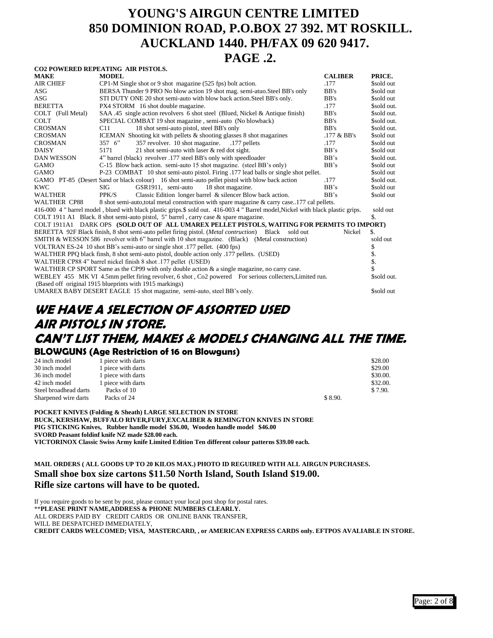# **YOUNG'S AIRGUN CENTRE LIMITED 850 DOMINION ROAD, P.O.BOX 27 392. MT ROSKILL. AUCKLAND 1440. PH/FAX 09 620 9417.**

### **PAGE .2.**

|                   | CO2 POWERED REPEATING AIR PISTOLS.                                                                                               |                |                   |
|-------------------|----------------------------------------------------------------------------------------------------------------------------------|----------------|-------------------|
| MAKE              | <b>MODEL</b>                                                                                                                     | <b>CALIBER</b> | PRICE.            |
| AIR CHIEF         | CP1-M Single shot or 9 shot magazine (525 fps) bolt action.                                                                      | .177           | \$sold out        |
| ASG               | BERSA Thunder 9 PRO No blow action 19 shot mag. semi-atuo. Steel BB's only                                                       | BB's           | \$sold out        |
| ASG               | STI DUTY ONE 20 shot semi-auto with blow back action. Steel BB's only.                                                           | BB's           | \$sold out        |
| <b>BERETTA</b>    | PX4 STORM 16 shot double magazine.                                                                                               | .177           | \$sold out.       |
| COLT (Full Metal) | SAA .45 single action revolvers 6 shot steel (Blued, Nickel & Antique finish)                                                    | BB's           | \$sold out.       |
| COLT              | SPECIAL COMBAT 19 shot magazine, semi-auto (No blowback)                                                                         | BB's           | \$sold out.       |
| CROSMAN           | C11<br>18 shot semi-auto pistol, steel BB's only                                                                                 | BB's           | \$sold out.       |
| CROSMAN           | ICEMAN Shooting kit with pellets & shooting glasses 8 shot magazines                                                             | $.177 \& BB's$ | \$sold out        |
| CROSMAN           | 357 revolver. 10 shot magazine.<br>$357 \, 6"$<br>.177 pellets                                                                   | .177           | \$sold out        |
| DAISY             | 21 shot semi-auto with laser & red dot sight.<br>5171                                                                            | BB's           | \$sold out        |
| DAN WESSON        | 4" barrel (black) revolver .177 steel BB's only with speedloader                                                                 | BB's           | \$sold out.       |
| GAMO              | C-15 Blow back action. semi-auto 15 shot magazine. (steel BB's only)                                                             | BB's           | \$sold out        |
| GAMO              | P-23 COMBAT 10 shot semi-auto pistol. Firing .177 lead balls or single shot pellet.                                              |                | \$sold out        |
|                   | GAMO PT-85 (Desert Sand or black colour) 16 shot semi-auto pellet pistol with blow back action                                   | .177           | \$sold out.       |
| KWC               | GSR1911, semi-auto<br>SIG<br>18 shot magazine.                                                                                   | BB's           | \$sold out        |
| WALTHER           | Classic Edition longer barrel & silencer Blow back action.<br>PPK/S                                                              | BB's           | \$sold out        |
| WALTHER CP88      | 8 shot semi-auto, total metal construction with spare magazine & carry case177 cal pellets.                                      |                |                   |
|                   | 416-000 4 " barrel model, blued with black plastic grips.\$ sold out. 416-003 4 " Barrel model, Nickel with black plastic grips. |                | sold out          |
|                   | COLT 1911 A1 Black. 8 shot semi-auto pistol, 5" barrel, carry case $\&$ spare magazine.                                          |                | \$.               |
|                   | COLT 1911A1 DARK OPS (SOLD OUT OF ALL UMAREX PELLET PISTOLS, WAITING FOR PERMITS TO IMPORT)                                      |                |                   |
|                   | BERETTA 92F Black finish, 8 shot semi-auto pellet firing pistol. ( <i>Metal contruction</i> ) Black sold out                     | Nickel         | \$.               |
|                   | SMITH & WESSON 586 revolver with 6" barrel with 10 shot magazine. (Black) (Metal construction)                                   |                | sold out          |
|                   | VOLTRAN ES-24 10 shot BB's semi-auto or single shot .177 pellet. (400 fps)                                                       |                | \$                |
|                   | WALTHER PPO black finsh, 8 shot semi-auto pistol, double action only .177 pellets. (USED)                                        |                | \$.               |
|                   | WALTHER CP88 4" barrel nickel finish 8 shot .177 pellet (USED)                                                                   |                | $\overline{\$}$ . |
|                   | WALTHER CP SPORT Same as the CP99 with only double action $\&$ a single magazine, no carry case.                                 |                |                   |
|                   | WEBLEY 455 MK VI 4.5mm pellet firing revolver, 6 shot, Co2 powered For serious collecters, Limited run.                          |                | \$sold out.       |
|                   | (Based off original 1915 blueprints with 1915 markings)                                                                          |                |                   |
|                   | UMAREX BABY DESERT EAGLE 15 shot magazine, semi-auto, steel BB's only.                                                           |                | \$sold out        |
|                   |                                                                                                                                  |                |                   |

### **WE HAVE A SELECTION OF ASSORTED USED AIR PISTOLS IN STORE. CAN'T LIST THEM, MAKES & MODELS CHANGING ALL THE TIME. BLOWGUNS (Age Restriction of 16 on Blowguns)**

| 24 inch model         | 1 piece with darts |         | \$28.00  |
|-----------------------|--------------------|---------|----------|
| 30 inch model         | 1 piece with darts |         | \$29.00  |
| 36 inch model         | 1 piece with darts |         | \$30.00. |
| 42 inch model         | 1 piece with darts |         | \$32.00. |
| Steel broadhead darts | Packs of 10        |         | \$7.90.  |
| Sharpened wire darts  | Packs of 24        | \$8.90. |          |

**POCKET KNIVES (Folding & Sheath) LARGE SELECTION IN STORE BUCK, KERSHAW, BUFFALO RIVER,FURY,EXCALIBER & REMINGTON KNIVES IN STORE PIG STICKING Knives, Rubber handle model \$36.00, Wooden handle model \$46.00 SVORD Peasant foldinf knife NZ made \$28.00 each. VICTORINOX Classic Swiss Army knife Limited Edition Ten different colour patterns \$39.00 each.**

**MAIL ORDERS ( ALL GOODS UP TO 20 KILOS MAX.) PHOTO ID REGUIRED WITH ALL AIRGUN PURCHASES. Small shoe box size cartons \$11.50 North Island, South Island \$19.00. Rifle size cartons will have to be quoted.**

If you require goods to be sent by post, please contact your local post shop for postal rates. \*\***PLEASE PRINT NAME,ADDRESS & PHONE NUMBERS CLEARLY.** ALL ORDERS PAID BY CREDIT CARDS OR ONLINE BANK TRANSFER, WILL BE DESPATCHED IMMEDIATELY, **CREDIT CARDS WELCOMED; VISA, MASTERCARD, , or AMERICAN EXPRESS CARDS only. EFTPOS AVALIABLE IN STORE.**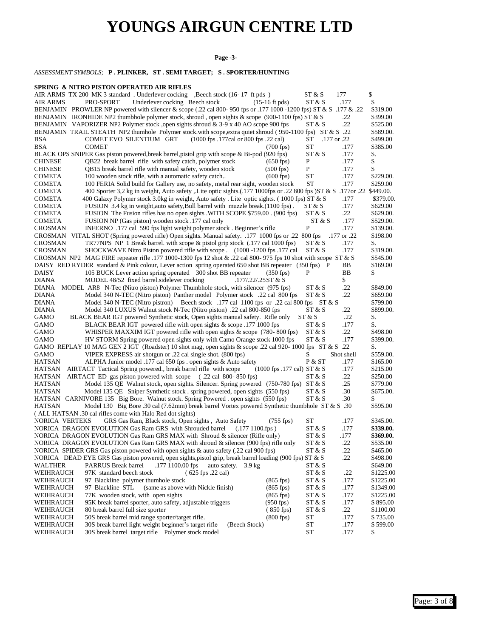# **YOUNGS AIRGUN CENTRE LTD**

#### **Page -3-**

#### *ASSESSMENT SYMBOLS;* **P . PLINKER, ST . SEMI TARGET; S . SPORTER/HUNTING**

#### **SPRING & NITRO PISTON OPERATED AIR RIFLES**

| AIR ARMS TX 200 MK 3 standard. Underlever cocking , Beech stock (16-17 ft pds)                                                                                                                      | ST & S                          | 177          | \$               |
|-----------------------------------------------------------------------------------------------------------------------------------------------------------------------------------------------------|---------------------------------|--------------|------------------|
| Underlever cocking Beech stock<br>$(15-16 \text{ ft} \text{ pds})$<br>AIR ARMS<br>PRO-SPORT                                                                                                         | ST & S                          | .177         | \$               |
| BENJAMIN PROWLER NP powered with silencer & scope (.22 cal 800-950 fps or .177 1000 -1200 fps) ST & S .177 & .22                                                                                    |                                 |              | \$319.00         |
| BENJAMIN IRONHIDE NP2 thumbhole polymer stock, shroud, open sights & scope (900-1100 fps) ST & S                                                                                                    |                                 | .22          | \$399.00         |
| BENJAMIN VAPORIZER NP2 Polymer stock ,open sights shroud & $3-9x$ 40 AO scope 900 fps                                                                                                               | ST & S                          | .22          | \$525.00         |
| BENJAMIN TRAIL STEATH NP2 thumhole Polymer stock.with scope, extra quiet shroud (950-1100 fps) ST & S .22                                                                                           |                                 |              | \$589.00.        |
| (1000 fps .177cal or 800 fps .22 cal)<br>BSA<br>COMET EVO SILENTIUM GRT                                                                                                                             | .177 or .22<br>ST               |              | \$499.00         |
| BSA<br><b>COMET</b><br>$(700$ fps)                                                                                                                                                                  | <b>ST</b>                       | .177         | \$385.00         |
| BLACK OPS SNIPER Gas piston powered, break barrel, pistol grip with scope & Bi-pod (920 fps)                                                                                                        | ST & S                          | .177         | \$.              |
| QB22 break barrel rifle with safety catch, polymer stock<br><b>CHINESE</b><br>$(650$ fps)<br>QB15 break barrel rifle with manual safety, wooden stock<br>$(500$ fps)<br><b>CHINESE</b>              | P<br>P                          | .177<br>.177 | \$<br>\$         |
| 100 wooden stock rifle, with a automatic safety catch<br>$(600$ fps)<br>COMETA                                                                                                                      | <b>ST</b>                       | .177         | \$229.00.        |
| 100 FERIA Solid build for Gallery use, no safety, metal rear sight, wooden stock<br>COMETA                                                                                                          | <b>ST</b>                       | .177         | \$259.00         |
| 400 Sporter 3,2 kg in weight, Auto safety , Lite optic sights (.177 1000fps or .22 800 fps ) ST & S .177 or .22 \$449.00.<br>COMETA                                                                 |                                 |              |                  |
| 400 Galaxy Polymer stock 3.0kg in weight, Auto safety . Lite optic sights. (1000 fps) ST & S<br>COMETA                                                                                              |                                 | .177         | \$379.00         |
| FUSION 3.4 kg in weight, auto safety, Bull barrel with muzzle break. (1100 fps).<br>COMETA                                                                                                          | ST & S                          | .177         | \$629.00         |
| FUSION The Fusion rifles has no open sights .WITH SCOPE \$759.00. (900 fps)<br>COMETA                                                                                                               | ST & S                          | .22          | \$629.00.        |
| FUSION NP (Gas piston) wooden stock .177 cal only<br>COMETA                                                                                                                                         | ST & S                          | .177         | \$529.00.        |
| INFERNO .177 cal 590 fps light weight polymer stock . Beginner's rifle<br><b>CROSMAN</b>                                                                                                            | P                               | .177         | \$139.00.        |
| CROSMAN VITAL SHOT (Spring powered rifle) Open sights. Manual safety. .177 1000 fps or .22 800 fps                                                                                                  |                                 | .177 or .22  | \$198.00         |
| TR77NPS NP 1 Break barrel. with scope & pistol grip stock (.177 cal 1000 fps)<br><b>CROSMAN</b>                                                                                                     | ST & S                          | .177         | \$.              |
| SHOCKWAVE Nitro Piston powered rifle with scope . (1000 -1200 fps .177 cal<br><b>CROSMAN</b>                                                                                                        | ST & S                          | .177         | \$319.00.        |
| CROSMAN NP2 MAG FIRE repeater rifle .177 1000-1300 fps 12 shot & .22 cal 800-975 fps 10 shot with scope ST & S                                                                                      |                                 |              | \$545.00         |
| DAISY RED RYDER standard & Pink colour, Lever action spring operated 650 shot BB repeater (350 fps) P                                                                                               |                                 | ΒB           | \$169.00         |
| 105 BUCK Lever action spring operated 300 shot BB repeater<br>DAISY<br>$(350$ fps)                                                                                                                  | P                               | ВB           | \$               |
| <b>DIANA</b><br>MODEL 48/52 fixed barrel.sidelever cocking<br>$.177/.22/.25ST \& S$                                                                                                                 |                                 | \$           |                  |
| MODEL AR8 N-Tec (Nitro piston) Polymer Thumbhole stock, with silencer (975 fps)<br>DIANA                                                                                                            | ST & S                          | .22          | \$849.00         |
| <b>DIANA</b><br>Model 340 N-TEC (Nitro piston) Panther model Polymer stock .22 cal 800 fps                                                                                                          | ST & S                          | .22          | \$659.00         |
| Model 340 N-TEC (Nitro pistron) Beech stock 177 cal 1100 fps or .22 cal 800 fps ST & S<br>DIANA                                                                                                     |                                 |              | \$799.00         |
| <b>DIANA</b><br>Model 340 LUXUS Walnut stock N-Tec (Nitro piston) .22 cal 800-850 fps                                                                                                               | ST & S                          | .22          | \$899.00.        |
| BLACK BEAR IGT powered Synthetic stock, Open sights manual safety. Rifle only<br>GAMO                                                                                                               | ST & S                          | .22          | \$.              |
| BLACK BEAR IGT powered rifle with open sights & scope .177 1000 fps<br>GAMO                                                                                                                         | ST & S                          | .177         | \$.              |
| WHISPER MAXXIM IGT powered rifle with open sights $&$ scope (780-800 fps)<br>GAMO                                                                                                                   | ST & S                          | .22          | \$498.00         |
| HV STORM Spring powered open sights only with Camo Orange stock 1000 fps<br><b>GAMO</b><br>GAMO REPLAY 10 MAG GEN 2 IGT (Roadster) 10 shot mag, open sights & scope .22 cal 920-1000 fps ST & S .22 | ST & S                          | .177         | \$399.00.        |
| VIPER EXPRESS air shotgun or .22 cal single shot. (800 fps)<br><b>GAMO</b>                                                                                                                          | S                               | Shot shell   | \$.<br>\$559.00. |
| HATSAN<br>ALPHA Junior model .177 cal 650 fps . open sights & Auto safety                                                                                                                           | P & ST                          | .177         | \$165.00         |
| AIRTACT Tactical Spring powered., break barrel rifle with scope<br>(1000 fps .177 cal) ST & S<br>HATSAN                                                                                             |                                 | .177         | \$215.00         |
| <b>HATSAN</b><br>AIRTACT ED gas piston powered with scope (.22 cal 800-850 fps)                                                                                                                     | ST & S                          | .22          | \$250.00         |
| <b>HATSAN</b><br>Model 135 QE Walnut stock, open sights. Silencer. Spring powered (750-780 fps) ST & S                                                                                              |                                 | .25          | \$779.00         |
| <b>HATSAN</b><br>Model 135 QE Sniper Synthetic stock . spring powered, open sights (550 fps)                                                                                                        | ST & S                          | .30          | \$675.00.        |
| HATSAN CARNIVORE 135 Big Bore. Walnut stock. Spring Powered . open sights (550 fps)                                                                                                                 | ST & S                          | .30          | \$               |
| Model 130 Big Bore .30 cal (7.62mm) break barrel Vortex powered Synthetic thumbhole ST & S .30<br>HATSAN                                                                                            |                                 |              | \$595.00         |
| (ALL HATSAN .30 cal rifles come with Halo Red dot sights)                                                                                                                                           |                                 |              |                  |
| GRS Gas Ram, Black stock, Open sights, Auto Safety<br>NORICA VERTEKS<br>$(755$ fps)                                                                                                                 | ST                              | .177         | \$345.00.        |
| NORICA DRAGON EVOLUTION Gas Ram GRS with Shrouded barrel (.177 1100.fps)                                                                                                                            | ST & S                          | .177         | \$339.00.        |
| NORICA DRAGON EVOLUTION Gas Ram GRS MAX with Shroud & silencer (Rifle only)                                                                                                                         | ST & S                          | .177         | \$369.00.        |
| NORICA DRAGON EVOLUTION Gas Ram GRS MAX with shroud & silencer (900 fps) rifle only                                                                                                                 | ST & S                          | .22          | \$535.00         |
| NORICA SPIDER GRS Gas piston powered with open sights & auto safety (.22 cal 900 fps)                                                                                                               | $ST \& S$                       | 22.          | \$465.00         |
| NORICA DEAD EYE GRS Gas piston powered, open sights, pistol grip, break barrel loading (900 fps) ST & S                                                                                             |                                 | .22          | \$498.00         |
| PARRUS Break barrel<br>.177 1100.00 fps<br>auto safety. 3.9 kg<br>WALTHER                                                                                                                           | ST & S                          |              | \$649.00         |
| 97K standard beech stock<br>WEIHRAUCH<br>(625 fps .22 cal)                                                                                                                                          | ST & S                          | .22          | \$1225.00        |
| 97 Blackline polymer thumhole stock<br>$(865$ fps)<br>WEIHRAUCH                                                                                                                                     | ST & S                          | .177         | \$1225.00        |
| (same as above with Nickle finish)<br>$(865$ fps)<br>WEIHRAUCH<br>97 Blackline STL                                                                                                                  | ST & S                          | .177         | \$1349.00        |
| WEIHRAUCH<br>77K wooden stock, with open sights<br>$(865$ fps)                                                                                                                                      | ST & S                          | .177         | \$1225.00        |
| WEIHRAUCH<br>95K break barrel sporter, auto safety, adjustable triggers<br>$(950$ fps)                                                                                                              | ST & S                          | .177         | \$895.00         |
| 80 break barrel full size sporter<br>WEIHRAUCH<br>$(850$ fps)                                                                                                                                       | ST & S                          | .22          | \$1100.00        |
| 50S break barrel mid range sporter/target rifle.<br>$(800$ fps)<br>WEIHRAUCH                                                                                                                        | <b>ST</b>                       | .177         | \$735.00         |
| (Beech Stock)<br>30S break barrel light weight beginner's target rifle<br>WEIHRAUCH<br>30S break barrel target rifle Polymer stock model                                                            | <b>ST</b><br>${\cal S}{\cal T}$ | .177         | \$599.00         |
| WEIHRAUCH                                                                                                                                                                                           |                                 | .177         | \$               |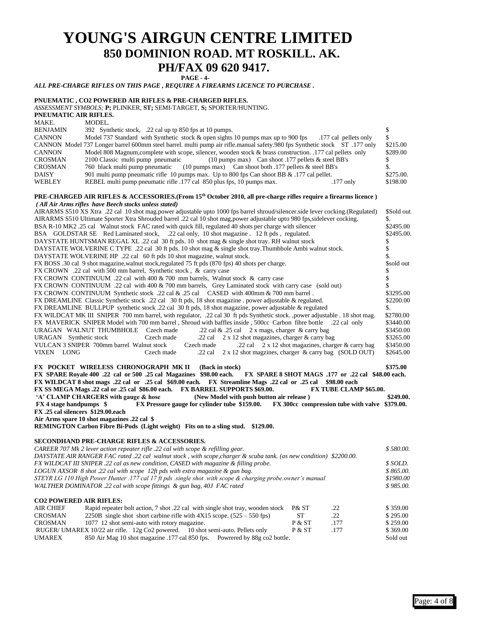### **YOUNG'S AIRGUN CENTRE LIMITED 850 DOMINION ROAD. MT ROSKILL. AK. PH/FAX 09 620 9417. PAGE - 4-**

*ALL PRE-CHARGE RIFLES ON THIS PAGE , REQUIRE A FIREARMS LICENCE TO PURCHASE .*

#### **PNUEMATIC , CO2 POWERED AIR RIFLES & PRE-CHARGED RIFLES.** *ASSESSMENT SYMBOLS;* **P;** PLINKER, **ST;** SEMI-TARGET, **S;** SPORTER/HUNTING. **PNEUMATIC AIR RIFLES.** MAKE. MODEL. BENJAMIN 392 Synthetic stock, .22 cal up tp 850 fps at 10 pumps. \$ CANNON Model 737 Standard with Synthetic stock & open sights 10 pumps max up to 900 fps .177 cal pellets only \$<br>CANNON Model 737 Longer barrel 600mm steel barrel. multi pump air rifle manual safety 980 fps Synthetic stock 737 Longer barrel 600mm steel barrel. multi pump air rifle.manual safety.980 fps Synthetic stock ST .177 only CANNON Model 808 Magnum,complete with scope, silencer, wooden stock & brass construction. .177 cal pellets only \$289.00 CROSMAN 2100 Classic multi pump pneumatic (10 pumps max) Can shoot .177 pellets & steel BB's \$ CROSMAN 760 black multi pump pneumatic (10 pumps max) Can shoot both .177 pellets & steel BB's \$. DAISY 901 multi pump pneumatic rifle 10 pumps max. Up to 800 fps Can shoot BB & .177 cal pellet. \$275.00. WEBLEY REBEL multi pump pneumatic rifle .177 cal 850 plus fps, 10 pumps max. .177 only \$198.00 **PRE-CHARGED AIR RIFLES & ACCESSORIES.(From 15th October 2010, all pre-charge rifles require a firearms licence )**  *( All Air Arms rifles have Beech stocks unless stated)* AIRARMS S510 XS Xtra .22 cal 10 shot mag.power adjustable upto 1000 fps barrel shroud/silencer.side lever cocking.(Regulated) \$Sold out AIRARMS S510 Ultimate Sporter Xtra Shrouded barrel .22 cal 10 shot mag, power adjustable upto 980 fps, sidelever cocking.<br>BSA R-10 MK2 25 cal Walnut stock EAC rated with quick fill regulated 40 shots per charge with silenc BSA R-10 MK2 .25 cal Walnut stock FAC rated with quick fill, regulated 40 shots per charge with silencer BSA GOLDSTAR SE Red Laminated stock, .22 cal only, 10 shot magazine . 12 ft pds , regulated. \$2495.00. DAYSTATE HUNTSMAN REGAL XL .22 cal 30 ft pds. 10 shot mag & single shot tray. RH walnut stock \$ DAYSTATE WOLVERINE C TYPE .22 cal 30 ft pds. 10 shot mag & single shot tray.Thumbhole Ambi walnut stock. \$ DAYSTATE WOLVERINE HP .22 cal 60 ft pds 10 shot magazine, walnut stock. \$ FX BOSS .30 cal 9 shot magazine, walnut stock, regulated 75 ft pds (870 fps) 40 shots per charge. \$sold out \$sold out FX CROWN .22 cal with 500 mm barrel, Synthetic stock, & carry case \$ FX CROWN CONTINUUM .22 cal with 400 & 700 mm barrels, Walnut stock & carry case \$ FX CROWN CONTINUUM .22 cal with 400 & 700 mm barrels, Grey Laminated stock with carry case (sold out) \$ FX CROWN CONTINUUM Synthetic stock .22 cal & .25 cal CASED with 400mm & 700 mm barrel . \$3295.00<br>FX DREAMLINE Classic Synthetic stock .22 cal 30 ft pds. 18 shot magazine . power adjustable & regulated. \$2200.00 FX DREAMLINE Classic Synthetic stock .22 cal 30 ft pds, 18 shot magazine . power adjustable & regulated. FX DREAMLINE BULLPUP synthetic stock .22 cal 30 ft pds, 18 shot magazine, power adjustable & regulated \$. FX WILDCAT MK III SNIPER 700 mm barrel, with regulator, .22 cal 30 ft pds Synthetic stock. ,power adjustable . 18 shot mag. \$2780.00 FX MAVERICK SNIPER Model with 700 mm barrel , Shroud with baffles inside , 500cc Carbon fibre bottle .22 cal only \$3440.00 URAGAN WALNUT THUMBHOLE Czech made  $.22$  cal & .25 cal 2 x mags, charger & carry bag \$3450.00 URAGAN Synthetic stock Czech made .22 cal 2 x 12 shot magazines, charger & carry bag \$3265.00<br>VULCAN 3 SNIPER 700mm barrel Walnut stock Czech made .22 cal 2 x 12 shot magazines, charger & carry bag \$3450.00 Czech made  $.22$  cal  $\overline{2}$  x 12 shot magazines, charger & carry bag VIXEN LONG Czech made .22 cal 2 x 12 shot magzines, charger & carry bag (SOLD OUT) \$2645.00 **FX POCKET WIRELESS CHRONOGRAPH MK II** (Back in stock) 6375.00 **FX SPARE Royale 400 .22 cal or 500 .25 cal Magazines \$98.00 each. FX SPARE 8 SHOT MAGS .177 or .22 cal \$48.00 each. FX WILDCAT 8 shot mags .22 cal or .25 cal \$69.00 each. FX Streamline Mags .22 cal or .25 cal \$98.00 each FX SS MEGA Mags .22 cal or .25 cal \$86.00 each.** FX BARREL SUPPORTS \$69.00. FX TUBE CLAMP \$65.00. <br>A' CLAMP CHARGERS with gauge & hose (New Model with push button air release) \$249.00. **'A' CLAMP CHARGERS with gauge & hose (New Model with push button air release) FX 4 stage handpumps \$ FX Pressure gauge for cylinder tube \$159.00. FX 300cc compression tube with valve \$379.00. FX .25 cal silencers \$129.00.each Air Arms spare 10 shot magazines .22 cal \$ REMINGTON Carbon Fibre Bi-Pods (Light weight) Fits on to a sling stud. \$129.00. SECONDHAND PRE-CHARGE RIFLES & ACCESSORIES.** *CAREER 707 Mk 2 lever action repeater rifle .22 cal with scope & refilling gear. \$ 580.00. DAYSTATE AIR RANGER FAC rated .22 cal walnut stock , with scope,charger & scuba tank. (as new condition) \$2200.00. FX WILDCAT III SNIPER .22 cal as new condition, CASED with magazine & filling probe. \$ SOLD. LOGUN AXSOR 8 shot .22 cal with scope 12ft pds with extra magazine & gun bag. \$ 865.00. STEYR LG 110 High Power Hunter .177 cal 17 ft pds .single shot .with scope & charging probe.owner's manual WALTHER DOMINATOR .22 cal with scope fittings & gun bag, 40J FAC rated \$ 985.00.* **CO2 POWERED AIR RIFLES:** AIR CHIEF Rapid repeater bolt action, 7 shot .22 cal with single shot tray, wooden stock P& ST .22 \$ 359.00<br>CROSMAN 2250B single shot short carbine rifle with 4X15 scope. (525 – 550 fps) ST .22 \$ 295.00 CROSMAN 2250B single shot short carbine rifle with  $4X15$  scope.  $(525 - 550$  fps $)$  ST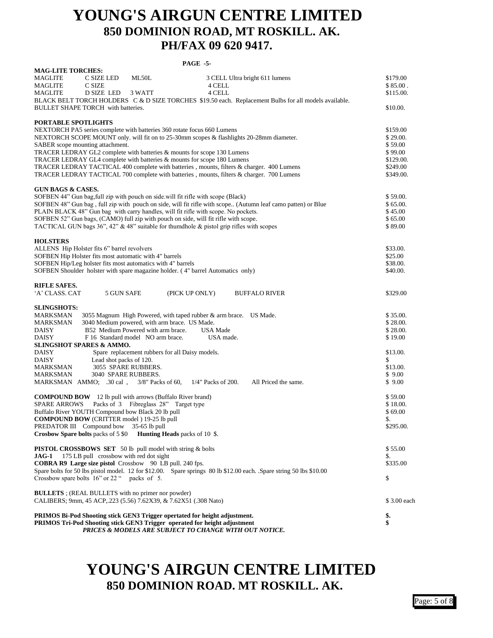## **YOUNG'S AIRGUN CENTRE LIMITED 850 DOMINION ROAD, MT ROSKILL. AK. PH/FAX 09 620 9417.**

#### **PAGE -5-**

| <b>MAG-LITE TORCHES:</b>                                                                                           |             |
|--------------------------------------------------------------------------------------------------------------------|-------------|
| MAGLITE<br>C SIZE LED<br>ML50L<br>3 CELL Ultra bright 611 lumens                                                   | \$179.00    |
| MAGLITE<br>C SIZE<br>4 CELL                                                                                        | \$85.00.    |
| D SIZE LED<br>3 WATT<br>4 CELL<br>MAGLITE                                                                          | \$115.00.   |
| BLACK BELT TORCH HOLDERS C & D SIZE TORCHES \$19.50 each. Replacement Bulbs for all models available.              |             |
| BULLET SHAPE TORCH with batteries.                                                                                 | \$10.00.    |
|                                                                                                                    |             |
| PORTABLE SPOTLIGHTS                                                                                                |             |
| NEXTORCH PA5 series complete with batteries 360 rotate focus 660 Lumens                                            | \$159.00    |
| NEXTORCH SCOPE MOUNT only. will fit on to 25-30mm scopes & flashlights 20-28mm diameter.                           | \$29.00.    |
| SABER scope mounting attachment.                                                                                   | \$59.00     |
| TRACER LEDRAY GL2 complete with batteries & mounts for scope 130 Lumens                                            | \$99.00     |
| TRACER LEDRAY GL4 complete with batteries & mounts for scope 180 Lumens                                            | \$129.00.   |
| TRACER LEDRAY TACTICAL 400 complete with batteries, mounts, filters & charger. 400 Lumens                          | \$249.00    |
| TRACER LEDRAY TACTICAL 700 complete with batteries, mounts, filters & charger. 700 Lumens                          | \$349.00.   |
|                                                                                                                    |             |
| <b>GUN BAGS &amp; CASES.</b>                                                                                       |             |
| SOFBEN 44" Gun bag, full zip with pouch on side.will fit rifle with scope (Black)                                  | \$59.00.    |
| SOFBEN 48" Gun bag, full zip with pouch on side, will fit rifle with scope (Autumn leaf camo patten) or Blue       | \$65.00.    |
| PLAIN BLACK 48" Gun bag with carry handles, will fit rifle with scope. No pockets.                                 | \$45.00     |
| SOFBEN 52" Gun bags, (CAMO) full zip with pouch on side, will fit rifle with scope.                                | \$65.00     |
| TACTICAL GUN bags $36$ ", $42$ " & $48$ " suitable for thumdhole & pistol grip rifles with scopes                  | \$89.00     |
|                                                                                                                    |             |
| <b>HOLSTERS</b>                                                                                                    |             |
| ALLENS Hip Holster fits 6" barrel revolvers                                                                        | \$33.00.    |
| SOFBEN Hip Holster fits most automatic with 4" barrels                                                             | \$25.00     |
| SOFBEN Hip/Leg holster fits most automatics with 4" barrels                                                        | \$38.00.    |
| SOFBEN Shoulder holster with spare magazine holder. (4" barrel Automatics only)                                    | \$40.00.    |
|                                                                                                                    |             |
| RIFLE SAFES.                                                                                                       |             |
| (PICK UP ONLY)<br>ʻA' CLASS. CAT<br>5 GUN SAFE<br><b>BUFFALO RIVER</b>                                             | \$329.00    |
|                                                                                                                    |             |
| <b>SLINGSHOTS:</b>                                                                                                 |             |
| 3055 Magnum High Powered, with taped rubber & arm brace. US Made.<br>MARKSMAN                                      | \$35.00.    |
| 3040 Medium powered, with arm brace. US Made.<br>MARKSMAN                                                          | \$28.00.    |
| B52 Medium Powered with arm brace.<br>DAISY<br>USA Made                                                            | \$28.00.    |
| DAISY<br>F 16 Standard model NO arm brace.<br>USA made.                                                            | \$19.00     |
| SLINGSHOT SPARES & AMMO.                                                                                           |             |
| Spare replacement rubbers for all Daisy models.<br>DAISY                                                           | \$13.00.    |
| DAISY<br>Lead shot packs of 120.                                                                                   | \$          |
| MARKSMAN<br>3055 SPARE RUBBERS.                                                                                    | \$13.00.    |
| MARKSMAN<br>3040 SPARE RUBBERS.                                                                                    | \$9.00      |
| 1/4" Packs of 200.<br>All Priced the same.<br>MARKSMAN AMMO; .30 cal,<br>$3/8$ " Packs of 60,                      | \$9.00      |
|                                                                                                                    |             |
| <b>COMPOUND BOW</b> 12 lb pull with arrows (Buffalo River brand)                                                   | \$59.00     |
| Packs of 3 Fibreglass 28" Target type<br>SPARE ARROWS                                                              | \$18.00.    |
| Buffalo River YOUTH Compound bow Black 20 lb pull                                                                  | \$69.00     |
| <b>COMPOUND BOW</b> (CRITTER model) 19-25 lb pull                                                                  | \$.         |
| PREDATOR III Compound bow 35-65 lb pull                                                                            | \$295.00.   |
| Crosbow Spare bolts packs of 5 \$0 Hunting Heads packs of 10 \$.                                                   |             |
|                                                                                                                    |             |
| <b>PISTOL CROSSBOWS SET</b> 50 lb pull model with string & bolts                                                   | \$55.00     |
| JAG-1 175 LB pull crossbow with red dot sight                                                                      | \$.         |
| <b>COBRA R9 Large size pistol</b> Crossbow 90 LB pull. 240 fps.                                                    | \$335.00    |
| Spare bolts for 50 lbs pistol model. 12 for \$12.00. Spare springs 80 lb \$12.00 each. Spare string 50 lbs \$10.00 |             |
| Crossbow spare bolts 16" or 22 " packs of 5.                                                                       | \$          |
|                                                                                                                    |             |
| <b>BULLETS</b> ; (REAL BULLETS with no primer nor powder)                                                          |             |
| CALIBERS; 9mm, 45 ACP, 223 (5.56) 7.62X39, & 7.62X51 (.308 Nato)                                                   | \$3.00 each |
|                                                                                                                    |             |
| PRIMOS Bi-Pod Shooting stick GEN3 Trigger opertated for height adjustment.                                         | \$.         |
| PRIMOS Tri-Pod Shooting stick GEN3 Trigger operated for height adjustment                                          | \$          |
| <b>PRICES &amp; MODELS ARE SUBJECT TO CHANGE WITH OUT NOTICE.</b>                                                  |             |

# **YOUNG'S AIRGUN CENTRE LIMITED 850 DOMINION ROAD. MT ROSKILL. AK.**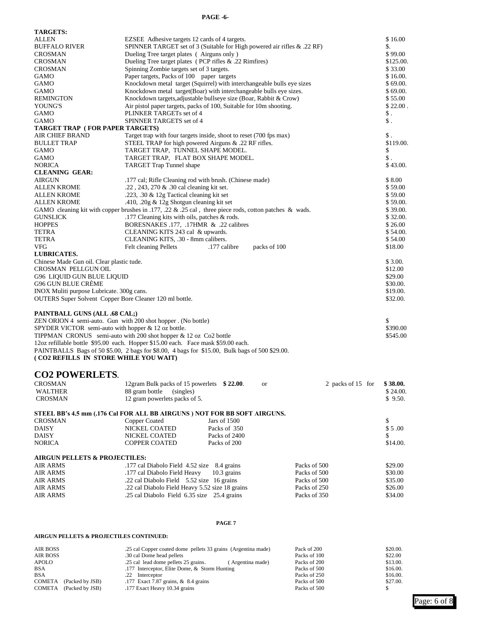#### **PAGE -6-**

| <b>TARGETS:</b>                                                 |                                                                                                                  |                     |  |
|-----------------------------------------------------------------|------------------------------------------------------------------------------------------------------------------|---------------------|--|
| ALLEN                                                           | EZSEE Adhesive targets 12 cards of 4 targets.                                                                    | \$16.00<br>\$.      |  |
| <b>BUFFALO RIVER</b>                                            | SPINNER TARGET set of 3 (Suitable for High powered air rifles $\&$ .22 RF)                                       |                     |  |
| <b>CROSMAN</b>                                                  | Dueling Tree target plates (Airguns only)                                                                        |                     |  |
| <b>CROSMAN</b><br><b>CROSMAN</b>                                | Dueling Tree target plates (PCP rifles & .22 Rimfires)<br>\$125.00.<br>Spinning Zombie targets set of 3 targets. |                     |  |
| GAMO                                                            | Paper targets, Packs of 100 paper targets                                                                        | \$33.00<br>\$16.00. |  |
| GAMO                                                            | Knockdown metal target (Squirrel) with interchangeable bulls eye sizes                                           | \$69.00.            |  |
| GAMO                                                            | Knockdown metal target(Boar) with interchangeable bulls eye sizes.                                               | \$69.00.            |  |
| REMINGTON                                                       | Knockdown targets, adjustable bullseye size (Boar, Rabbit & Crow)                                                | \$55.00             |  |
| YOUNG'S                                                         | Air pistol paper targets, packs of 100, Suitable for 10m shooting.                                               | \$22.00.            |  |
| GAMO                                                            | PLINKER TARGETs set of 4                                                                                         | \$.                 |  |
| GAMO                                                            | SPINNER TARGETS set of 4                                                                                         | \$.                 |  |
| TARGET TRAP (FOR PAPER TARGETS)                                 |                                                                                                                  |                     |  |
| AIR CHIEF BRAND                                                 | Target trap with four targets inside, shoot to reset (700 fps max)                                               | \$.                 |  |
| <b>BULLET TRAP</b>                                              | STEEL TRAP for high powered Airguns & .22 RF rifles.                                                             | \$119.00.           |  |
| GAMO<br>GAMO                                                    | TARGET TRAP, TUNNEL SHAPE MODEL.<br>TARGET TRAP, FLAT BOX SHAPE MODEL.                                           | \$<br>\$.           |  |
| <b>NORICA</b>                                                   | TARGET Trap Tunnel shape                                                                                         | \$43.00.            |  |
| <b>CLEANING GEAR:</b>                                           |                                                                                                                  |                     |  |
| AIRGUN                                                          | .177 cal; Rifle Cleaning rod with brush. (Chinese made)                                                          | \$8.00              |  |
| ALLEN KROME                                                     | .22, 243, 270 & .30 cal cleaning kit set.                                                                        | \$59.00             |  |
| ALLEN KROME                                                     | .223, .30 & 12g Tactical cleaning kit set                                                                        | \$59.00             |  |
| ALLEN KROME                                                     | .410, .20g & 12g Shotgun cleaning kit set                                                                        | \$59.00.            |  |
|                                                                 | GAMO cleaning kit with copper brushes in .177, .22 & .25 cal, three piece rods, cotton patches & wads.           | \$39.00.            |  |
| GUNSLICK                                                        | .177 Cleaning kits with oils, patches & rods.                                                                    | \$32.00.            |  |
| <b>HOPPES</b>                                                   | BORESNAKES .177, .17HMR & .22 calibres                                                                           | \$26.00             |  |
| TETRA                                                           | CLEANING KITS 243 cal & upwards.                                                                                 | \$54.00.            |  |
| TETRA                                                           | CLEANING KITS, .30 - 8mm calibers.                                                                               | \$54.00             |  |
| VFG                                                             | .177 calibre<br>Felt cleaning Pellets<br>packs of 100                                                            | \$18.00             |  |
| <b>LUBRICATES.</b><br>Chinese Made Gun oil. Clear plastic tude. |                                                                                                                  | \$3.00.             |  |
| CROSMAN PELLGUN OIL                                             |                                                                                                                  | \$12.00             |  |
| G96 LIQUID GUN BLUE LIQUID                                      |                                                                                                                  | \$29.00             |  |
| G96 GUN BLUE CRÉME                                              |                                                                                                                  | \$30.00.            |  |
| INOX Muliti purpose Lubricate. 300g cans.                       |                                                                                                                  | \$19.00.            |  |
| OUTERS Super Solvent Copper Bore Cleaner 120 ml bottle.         |                                                                                                                  | \$32.00.            |  |
|                                                                 |                                                                                                                  |                     |  |
| <b>PAINTBALL GUNS (ALL .68 CAL;)</b>                            |                                                                                                                  |                     |  |
| ZEN ORION 4 semi-auto. Gun with 200 shot hopper . (No bottle)   |                                                                                                                  | \$                  |  |
| SPYDER VICTOR semi-auto with hopper $& 12$ oz bottle.           |                                                                                                                  | \$390.00            |  |
|                                                                 | TIPPMAN CRONUS semi-auto with 200 shot hopper $\&$ 12 oz Co2 bottle                                              | \$545.00            |  |
|                                                                 | 12oz refillable bottle \$95.00 each. Hopper \$15.00 each. Face mask \$59.00 each.                                |                     |  |
| (CO2 REFILLS IN STORE WHILE YOU WAIT)                           | PAINTBALLS Bags of 50 \$5.00, 2 bags for \$8.00, 4 bags for \$15.00, Bulk bags of 500 \$29.00.                   |                     |  |
|                                                                 |                                                                                                                  |                     |  |
| <b>CO2 POWERLETS.</b>                                           |                                                                                                                  |                     |  |
|                                                                 |                                                                                                                  |                     |  |
| <b>CROSMAN</b>                                                  | 12gram Bulk packs of 15 powerlets \$22.00.<br>2 packs of 15 for<br>or                                            | \$38.00.            |  |
| WALTHER<br><b>CROSMAN</b>                                       | 88 gram bottle (singles)<br>12 gram powerlets packs of 5.                                                        | \$24.00.<br>\$9.50. |  |
|                                                                 |                                                                                                                  |                     |  |
|                                                                 | STEEL BB's 4.5 mm (.176 Cal FOR ALL BB AIRGUNS) NOT FOR BB SOFT AIRGUNS.                                         |                     |  |
| <b>CROSMAN</b>                                                  | Copper Coated<br>Jars of 1500                                                                                    | \$                  |  |
| <b>DAISY</b>                                                    | NICKEL COATED<br>Packs of 350                                                                                    | \$5.00              |  |
| <b>DAISY</b>                                                    | NICKEL COATED<br>Packs of 2400                                                                                   | S                   |  |
| <b>NORICA</b>                                                   | <b>COPPER COATED</b><br>Packs of 200                                                                             | \$14.00.            |  |
|                                                                 |                                                                                                                  |                     |  |
| <b>AIRGUN PELLETS &amp; PROJECTILES:</b>                        |                                                                                                                  |                     |  |
| <b>AIR ARMS</b>                                                 | .177 cal Diabolo Field 4.52 size 8.4 grains<br>Packs of 500                                                      | \$29.00             |  |
| AIR ARMS                                                        | .177 cal Diabolo Field Heavy<br>10.3 grains<br>Packs of 500                                                      | \$30.00             |  |
| <b>AIR ARMS</b>                                                 | .22 cal Diabolo Field 5.52 size 16 grains<br>Packs of 500                                                        | \$35.00             |  |
| <b>AIR ARMS</b>                                                 | .22 cal Diabolo Field Heavy 5.52 size 18 grains<br>Packs of 250                                                  | \$26.00             |  |
| <b>AIR ARMS</b>                                                 | .25 cal Diabolo Field 6.35 size 25.4 grains<br>Packs of 350                                                      | \$34.00             |  |
|                                                                 |                                                                                                                  |                     |  |
|                                                                 |                                                                                                                  |                     |  |
|                                                                 | PAGE 7                                                                                                           |                     |  |
| AIRGUN PELLETS & PROJECTILES CONTINUED:                         |                                                                                                                  |                     |  |

AIR BOSS AIR BOSS .25 cal Copper coated dome pellets 33 grains (Argentina made) Pack of 200 \$20.00. AIR BOSS .30 cal Dome head pellets Packs of 100 \$22.00 APOLO 25 cal lead dome pellets 25 grains. (Argentina made) Packs of 200 \$13.00. BSA .177 Interceptor, Elite Dome, & Storm Hunting Packs of 500 \$16.00. BSA .22 Interceptor 25 .22 Interceptor 25 .22 Interceptor 250 Packs of 250 \$16.00. COMETA (Packed by JSB) .177 Exact 7.87 grains, & 8.4 grains Packs of 500 \$27.00. COMETA (Packed by JSB) .177 Exact Heavy 10.34 grains Packs of 500 \$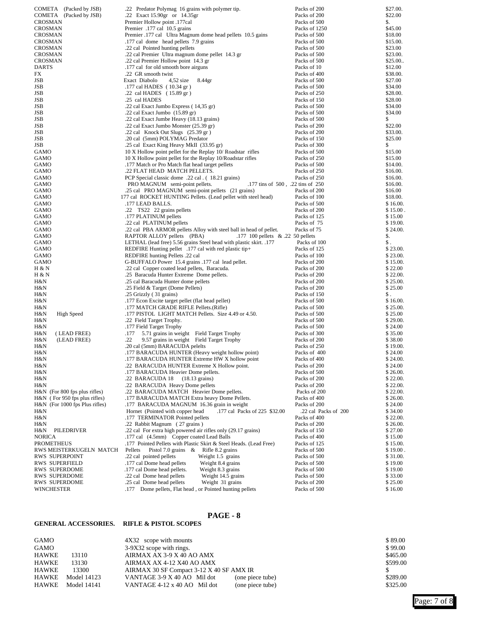| COMETA (Packed by JSB)          | .22 Predator Polymag 16 grains with polymer tip.                    | Packs of 200         | \$27.00. |
|---------------------------------|---------------------------------------------------------------------|----------------------|----------|
| COMETA (Packed by JSB)          | .22 Exact 15.90gr or 14.35gr                                        | Packs of 200         | \$22.00  |
| CROSMAN                         | Premier Hollow point .177cal                                        | Packs of 500         | \$.      |
| CROSMAN                         | Premier .177 cal 10.5 grains                                        | Packs of 1250        | \$45.00  |
| CROSMAN                         | Premier .177 cal Ultra Magnum dome head pellets 10.5 gains          | Packs of 500         | \$18.00  |
| CROSMAN                         | .177 cal dome head pellets 7.9 grains                               | Packs of 500         | \$15.00. |
| <b>CROSMAN</b>                  |                                                                     |                      |          |
|                                 | .22 cal Pointed hunting pellets                                     | Packs of 500         | \$23.00  |
| CROSMAN                         | .22 cal Premier Ultra magnum dome pellet 14.3 gr                    | Packs of 500         | \$23.00. |
| CROSMAN                         | .22 cal Premier Hollow point 14.3 gr                                | Packs of 500         | \$25.00. |
| <b>DARTS</b>                    | .177 cal for old smooth bore airguns                                | Packs of 10          | \$12.00  |
| FX                              | .22 GR smooth twist                                                 | Packs of 400         | \$38.00. |
| JSB                             | Exact Diabolo<br>$4,52$ size<br>8.44gr                              | Packs of 500         | \$27.00  |
| JSB                             | .177 cal HADES (10.34 gr)                                           | Packs of 500         | \$34.00  |
| JSB                             | .22 cal HADES (15.89 gr)                                            | Packs of 250         | \$28.00. |
|                                 |                                                                     |                      |          |
| JSB                             | .25 cal HADES                                                       | Packs of 150         | \$28.00  |
| JSB                             | .22 cal Exact Jumbo Express (14,35 gr)                              | Packs of 500         | \$34.00  |
| JSB                             | .22 cal Exact Jumbo (15.89 gr)                                      | Packs of 500         | \$34.00  |
| JSB                             | .22 cal Exact Jumbe Heavy (18.13 grains)                            | Packs of 500         | \$       |
| JSB                             | .22 cal Exact Jumbo Monster (25.39 gr)                              | Packs of 200         | \$22.00  |
| JSB                             | .22 cal Knock Out Slugs (25.39 gr)                                  | Packs of 200         | \$33.00. |
| JSB                             | .20 cal (5mm) POLYMAG Predator                                      | Packs of 150         | \$25.00  |
| JSB                             | .25 cal Exact King Heavy MkII (33.95 gr)                            | Packs of 300         | \$       |
| GAMO                            | 10 X Hollow point pellet for the Replay 10/ Roadstar rifles         | Packs of 500         | \$15.00  |
|                                 |                                                                     |                      |          |
| GAMO                            | 10 X Hollow point pellet for the Replay 10/Roadstar rifles          | Packs of 250         | \$15.00  |
| GAMO                            | .177 Match or Pro Match flat head target pellets                    | Packs of 500         | \$14.00. |
| GAMO                            | .22 FLAT HEAD MATCH PELLETS.                                        | Packs of 250         | \$16.00. |
| GAMO                            | PCP Special classic dome .22 cal. (18.21 grains)                    | Packs of 250         | \$16.00. |
| GAMO                            | PRO MAGNUM semi-point pellets.<br>.177 tins of 500, .22 tins of 250 |                      | \$16.00. |
| GAMO                            | .25 cal PRO MAGNUM semi-point pellets (21 grains)                   | Packs of 200         | \$16.00  |
| GAMO                            | 177 cal ROCKET HUNTING Pellets. (Lead pellet with steel head)       | Packs of 100         | \$18.00. |
| GAMO                            | .177 LEAD BALLS.                                                    | Packs of 500         | \$16.00  |
| GAMO                            | .22 TS22 22 grains pellets                                          | Packs of 200         | \$15.00  |
|                                 |                                                                     |                      | \$15.00  |
| GAMO                            | .177 PLATINUM pellets                                               | Packs of 125         |          |
| GAMO                            | .22 cal PLATINUM pellets                                            | Packs of 75          | \$19.00. |
| GAMO                            | .22 cal PBA ARMOR pellets Alloy with steel ball in head of pellet.  | Packs of 75          | \$24.00. |
| GAMO                            | RAPTOR ALLOY pellets (PBA)<br>.177 100 pellets $& .22$ 50 pellets   |                      | \$.      |
| GAMO                            | LETHAL (lead free) 5.56 grains Steel head with plastic skirt. .177  | Packs of 100         | \$.      |
| GAMO                            | REDFIRE Hunting pellet .177 cal with red plastic tip+               | Packs of 125         | \$23.00. |
| GAMO                            | REDFIRE hunting Pellets .22 cal                                     | Packs of 100         | \$23.00. |
| GAMO                            | G-BUFFALO Power 15.4 grains .177 cal lead pellet.                   | Packs of 200         | \$15.00  |
| H & N                           | .22 cal Copper coated lead pellets, Baracuda.                       | Packs of 200         | \$22.00  |
| H & N                           | .25 Baracuda Hunter Extreme Dome pellets.                           | Packs of 200         | \$22.00. |
| H&N                             | .25 cal Baracuda Hunter dome pellets                                | Packs of 200         | \$25.00  |
|                                 |                                                                     |                      | \$25.00  |
| H&N                             | .25 Field & Target (Dome Pellets)                                   | Packs of 200         |          |
| H&N                             | .25 Grizzly (31 grains)                                             | Packs of 150         | \$.      |
| H&N                             | .177 Econ Excite target pellet (flat head pellet)                   | Packs of 500         | \$16.00. |
| H&N                             | .177 MATCH GRADE RIFLE Pellets.(Rifle)                              | Packs of 500         | \$25.00. |
| H&N<br><b>High Speed</b>        | .177 PISTOL LIGHT MATCH Pellets. Size 4.49 or 4.50.                 | Packs of 500         | \$25.00  |
| H&N                             | .22 Field Target Trophy.                                            | Packs of 500         | \$29.00  |
| H&N                             | .177 Field Target Trophy                                            | Packs of 500         | \$24.00  |
| (LEAD FREE)<br>H&N              | 5.71 grains in weight Field Target Trophy<br>.177                   | Packs of 300         | \$35.00  |
| H&N<br>(LEAD FREE)              | 9.57 grains in weight Field Target Trophy<br>.22                    | Packs of 200         | \$38.00  |
| H&N                             | .20 cal (5mm) BARACUDA pelelts                                      | Packs of 250         | \$19.00  |
| H&N                             | .177 BARACUDA HUNTER (Heavy weight hollow point)                    | Packs of 400         | \$24.00  |
| H&N                             | .177 BARACUDA HUNTER Extreme HW X hollow point                      |                      | \$24.00. |
|                                 |                                                                     | Packs of 400         |          |
| H&N                             | .22 BARACUDA HUNTER Extreme X Hollow point.                         | Packs of 200         | \$24.00  |
| H&N                             | .177 BARACUDA Heavier Dome pellets.                                 | Packs of 500         | \$26.00. |
| H&N                             | .22 BARACUDA 18<br>$(18.13 \text{ grains})$                         | Packs of 200         | \$22.00. |
| H&N                             | .22 BARACUDA Heavy Dome pellets                                     | Packs of 200         | \$22.00. |
| $H&N$ (For 800 fps plus rifles) | .22 BARACUDA MATCH Heavier Dome pellets.                            | Packs of 200         | \$22.00. |
| H&N (For 950 fps plus rifles)   | .177 BARACUDA MATCH Extra heavy Dome Pellets.                       | Packs of 400         | \$26.00. |
| H&N (For 1000 fps Plus rifles)  | .177 BARACUDA MAGNUM 16.36 grain in weight                          | Packs of 200         | \$24.00  |
| H&N                             | .177 cal Packs of 225 \$32.00<br>Hornet (Pointed with copper head   | .22 cal Packs of 200 | \$34.00  |
| H&N                             | .177 TERMINATOR Pointed pellets                                     | Packs of 400         | \$22.00  |
| H&N                             | .22 Rabbit Magnum (27 grains)                                       | Packs of 200         | \$26.00. |
|                                 | .22 cal For extra high powered air rifles only (29.17 grains)       |                      |          |
| PILEDRIVER<br>H&N               |                                                                     | Packs of 150         | \$27.00  |
| NORICA                          | .177 cal (4.5mm) Copper coated Lead Balls                           | Packs of 400         | \$15.00  |
| <b>PROMETHEUS</b>               | 177 Pointed Pellets with Plastic Skirt & Steel Heads. (Lead Free)   | Packs of 125         | \$15.00. |
| RWS MEISTERKUGELN MATCH         | Pellets<br>Pistol 7.0 grains & Rifle 8.2 grains                     | Packs of 500         | \$19.00  |
| RWS SUPERPOINT                  | .22 cal pointed pellets<br>Weight 1.5 grains                        | Packs of 500         | \$31.00. |
| RWS SUPERFIELD                  | .177 cal Dome head pellets<br>Weight 8.4 grains                     | Packs of 500         | \$19.00  |
| RWS SUPERDOME                   | .177 cal Dome head pellets.<br>Weight 8.3 grains                    | Packs of 500         | \$19.00  |
| RWS SUPERDOME                   | .22 cal Dome head pellets<br>Weight 14.5 grains                     | Packs of 500         | \$33.00  |
| RWS SUPERDOME                   | .25 cal Dome head pellets<br>Weight 31 grains                       | Packs of 200         | \$25.00  |
| <b>WINCHESTER</b>               | .177 Dome pellets, Flat head, or Pointed hunting pellets            | Packs of 500         | \$16.00  |

#### **PAGE - 8**

#### **GENERAL ACCESSORIES. RIFLE & PISTOL SCOPES**

| GAMO  |             | 4X32 scope with mounts                   |                  | \$89.00  |
|-------|-------------|------------------------------------------|------------------|----------|
| GAMO  |             | 3-9X32 scope with rings.                 |                  | \$99.00  |
| HAWKE | 13110       | AIRMAX AX 3-9 X 40 AO AMX                |                  | \$465.00 |
| HAWKE | 13130       | AIRMAX AX 4-12 X40 AO AMX                |                  | \$599.00 |
| HAWKE | 13300       | AIRMAX 30 SF Compact 3-12 X 40 SF AMX IR |                  |          |
| HAWKE | Model 14123 | VANTAGE 3-9 X 40 AO Mil dot              | (one piece tube) | \$289.00 |
| HAWKE | Model 14141 | VANTAGE $4-12 \times 40$ AO Mil dot      | (one piece tube) | \$325.00 |